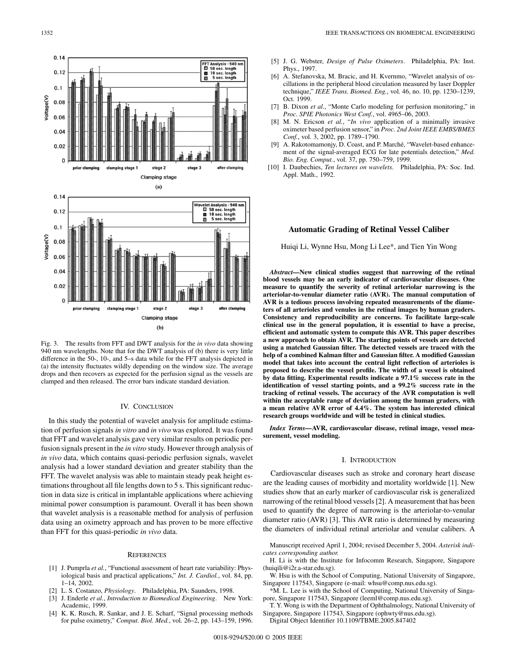

Fig. 3. The results fromFFT and DWT analysis for the *in vivo* data showing 940 nmwavelengths. Note that for the DWT analysis of (b) there is very little difference in the 50-, 10-, and 5–s data while for the FFT analysis depicted in (a) the intensity fluctuates wildly depending on the window size. The average drops and then recovers as expected for the perfusion signal as the vessels are clamped and then released. The error bars indicate standard deviation.

## IV. CONCLUSION

In this study the potential of wavelet analysis for amplitude estimation of perfusion signals *in vitro* and *in vivo* was explored. It was found that FFT and wavelet analysis gave very similar results on periodic perfusion signals present in the *in vitro* study. However through analysis of *in vivo* data, which contains quasi-periodic perfusion signals, wavelet analysis had a lower standard deviation and greater stability than the FFT. The wavelet analysis was able to maintain steady peak height estimations throughout all file lengths down to 5 s. This significant reduction in data size is critical in implantable applications where achieving minimal power consumption is paramount. Overall it has been shown that wavelet analysis is a reasonable method for analysis of perfusion data using an oximetry approach and has proven to be more effective than FFT for this quasi-periodic *in vivo* data.

# **REFERENCES**

- [1] J. Pumprla *et al.*, "Functional assessment of heart rate variability: Physiological basis and practical applications," *Int. J. Cardiol.*, vol. 84, pp. 1–14, 2002.
- [2] L. S. Costanzo, *Physiology*. Philadelphia, PA: Saunders, 1998.
- [3] J. Enderle *et al.*, *Introduction to Biomedical Engineering*. New York: Academic, 1999.
- [4] K. K. Rusch, R. Sankar, and J. E. Scharf, "Signal processing methods for pulse oximetry," *Comput. Biol. Med.*, vol. 26–2, pp. 143–159, 1996.
- [5] J. G. Webster, *Design of Pulse Oximeters*. Philadelphia, PA: Inst. Phys., 1997.
- [6] A. Stefanovska, M. Bracic, and H. Kvernmo, "Wavelet analysis of oscillations in the peripheral blood circulation measured by laser Doppler technique," *IEEE Trans. Biomed. Eng.*, vol. 46, no. 10, pp. 1230–1239, Oct. 1999.
- [7] B. Dixon *et al.*, "Monte Carlo modeling for perfusion monitoring," in *Proc. SPIE Photonics West Conf.*, vol. 4965–06, 2003.
- [8] M. N. Ericson *et al.*, "*In vivo* application of a minimally invasive oximeter based perfusion sensor," in *Proc. 2nd Joint IEEE EMBS/BMES Conf.*, vol. 3, 2002, pp. 1789–1790.
- [9] A. Rakotomamonjy, D. Coast, and P. Marché, "Wavelet-based enhancement of the signal-averaged ECG for late potentials detection," *Med. Bio. Eng. Comput.*, vol. 37, pp. 750–759, 1999.
- [10] I. Daubechies, *Ten lectures on wavelets*. Philadelphia, PA: Soc. Ind. Appl. Math., 1992.

# **Automatic Grading of Retinal Vessel Caliber**

Huiqi Li, Wynne Hsu, Mong Li Lee\*, and Tien Yin Wong

*Abstract—***New clinical studies suggest that narrowing of the retinal blood vessels may be an early indicator of cardiovascular diseases. One measure to quantify the severity of retinal arteriolar narrowing is the arteriolar-to-venular diameter ratio (AVR). The manual computation of AVR is a tedious process involving repeated measurements of the diameters of all arterioles and venules in the retinal images by human graders. Consistency and reproducibility are concerns. To facilitate large-scale clinical use in the general population, it is essential to have a precise, efficient and automatic system to compute this AVR. This paper describes a new approach to obtain AVR. The starting points of vessels are detected using a matched Gaussian filter. The detected vessels are traced with the help of a combined Kalman filter and Gaussian filter. A modified Gaussian model that takes into account the central light reflection of arterioles is proposed to describe the vessel profile. The width of a vessel is obtained by data fitting. Experimental results indicate a 97.1% success rate in the identification of vessel starting points, and a 99.2% success rate in the tracking of retinal vessels. The accuracy of the AVR computation is well within the acceptable range of deviation among the human graders, with a mean relative AVR error of 4.4%. The system has interested clinical research groups worldwide and will be tested in clinical studies.**

*Index Terms—***AVR, cardiovascular disease, retinal image, vessel measurement, vessel modeling.**

## I. INTRODUCTION

Cardiovascular diseases such as stroke and coronary heart disease are the leading causes of morbidity and mortality worldwide [1]. New studies show that an early marker of cardiovascular risk is generalized narrowing of the retinal blood vessels [2]. A measurement that has been used to quantify the degree of narrowing is the arteriolar-to-venular diameter ratio (AVR) [3]. This AVR ratio is determined by measuring the diameters of individual retinal arteriolar and venular calibers. A

- Manuscript received April 1, 2004; revised December 5, 2004. *Asterisk indicates corresponding author.*
- H. Li is with the Institute for Infocomm Research, Singapore, Singapore (huiqili@i2r.a-star.edu.sg).
- W. Hsu is with the School of Computing, National University of Singapore, Singapore 117543, Singapore (e-mail: whsu@comp.nus.edu.sg).
- \*M. L. Lee is with the School of Computing, National University of Singapore, Singapore 117543, Singapore (leeml@comp.nus.edu.sg).
- T. Y. Wong is with the Department of Ophthalmology, National University of Singapore, Singapore 117543, Singapore (ophwty@nus.edu.sg).
- Digital Object Identifier 10.1109/TBME.2005.847402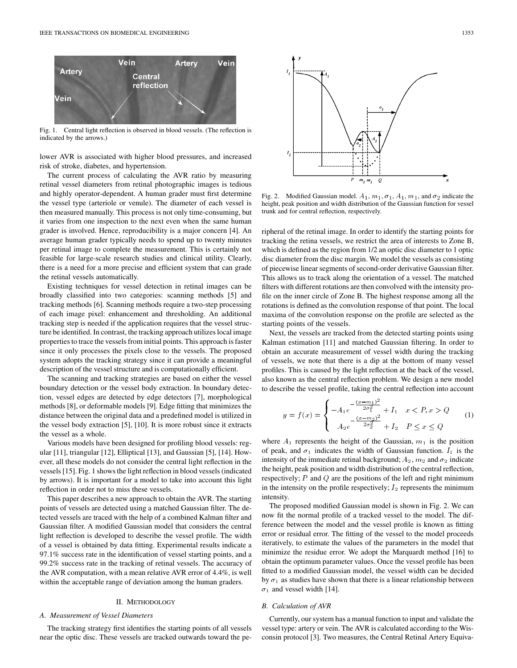

Fig. 1. Central light reflection is observed in blood vessels. (The reflection is indicated by the arrows.)

lower AVR is associated with higher blood pressures, and increased risk of stroke, diabetes, and hypertension.

The current process of calculating the AVR ratio by measuring retinal vessel diameters from retinal photographic images is tedious and highly operator-dependent. A human grader must first determine the vessel type (arteriole or venule). The diameter of each vessel is then measured manually. This process is not only time-consuming, but it varies from one inspection to the next even when the same human grader is involved. Hence, reproducibility is a major concern [4]. An average human grader typically needs to spend up to twenty minutes per retinal image to complete the measurement. This is certainly not feasible for large-scale research studies and clinical utility. Clearly, there is a need for a more precise and efficient system that can grade the retinal vessels automatically.

Existing techniques for vessel detection in retinal images can be broadly classified into two categories: scanning methods [5] and tracking methods [6]. Scanning methods require a two-step processing of each image pixel: enhancement and thresholding. An additional tracking step is needed if the application requires that the vessel structure be identified. In contrast, the tracking approach utilizes local image properties to trace the vessels frominitial points. This approach is faster since it only processes the pixels close to the vessels. The proposed systemadopts the tracking strategy since it can provide a meaningful description of the vessel structure and is computationally efficient.

The scanning and tracking strategies are based on either the vessel boundary detection or the vessel body extraction. In boundary detection, vessel edges are detected by edge detectors [7], morphological methods [8], or deformable models [9]. Edge fitting that minimizes the distance between the original data and a predefined model is utilized in the vessel body extraction [5], [10]. It is more robust since it extracts the vessel as a whole.

Various models have been designed for profiling blood vessels: regular [11], triangular [12], Elliptical [13], and Gaussian [5], [14]. However, all these models do not consider the central light reflection in the vessels [15]. Fig. 1 shows the light reflection in blood vessels (indicated by arrows). It is important for a model to take into account this light reflection in order not to miss these vessels.

This paper describes a new approach to obtain the AVR. The starting points of vessels are detected using a matched Gaussian filter. The detected vessels are traced with the help of a combined Kalman filter and Gaussian filter. A modified Gaussian model that considers the central light reflection is developed to describe the vessel profile. The width of a vessel is obtained by data fitting. Experimental results indicate a 97.1% success rate in the identification of vessel starting points, and a 99.2% success rate in the tracking of retinal vessels. The accuracy of the AVR computation, with a mean relative AVR error of 4.4%, is well within the acceptable range of deviation among the human graders.

## II. METHODOLOGY

### *A. Measurement of Vessel Diameters*

The tracking strategy first identifies the starting points of all vessels near the optic disc. These vessels are tracked outwards toward the pe-



Fig. 2. Modified Gaussian model.  $A_1$ ,  $m_1$ ,  $\sigma_1$ ,  $A_1$ ,  $m_1$ , and  $\sigma_2$  indicate the height, peak position and width distribution of the Gaussian function for vessel trunk and for central reflection, respectively.

ripheral of the retinal image. In order to identify the starting points for tracking the retina vessels, we restrict the area of interests to Zone B, which is defined as the region from  $1/2$  an optic disc diameter to 1 optic disc diameter from the disc margin. We model the vessels as consisting of piecewise linear segments of second-order derivative Gaussian filter. This allows us to track along the orientation of a vessel. The matched filters with different rotations are then convolved with the intensity profile on the inner circle of Zone B. The highest response among all the rotations is defined as the convolution response of that point. The local maxima of the convolution response on the profile are selected as the starting points of the vessels.

Next, the vessels are tracked from the detected starting points using Kalman estimation [11] and matched Gaussian filtering. In order to obtain an accurate measurement of vessel width during the tracking of vessels, we note that there is a dip at the bottomof many vessel profiles. This is caused by the light reflection at the back of the vessel, also known as the central reflection problem. We design a new model to describe the vessel profile, taking the central reflection into account

$$
y = f(x) = \begin{cases} -A_1 e^{-\frac{(x - m_1)^2}{2\sigma_1^2}} + I_1 & x < P, x > Q\\ A_2 e^{-\frac{(x - m_2)^2}{2\sigma_2^2}} + I_2 & P \le x \le Q \end{cases}
$$
 (1)

where  $A_1$  represents the height of the Gaussian,  $m_1$  is the position of peak, and  $\sigma_1$  indicates the width of Gaussian function.  $I_1$  is the intensity of the immediate retinal background;  $A_2$ ,  $m_2$  and  $\sigma_2$  indicate the height, peak position and width distribution of the central reflection, respectively;  $P$  and  $Q$  are the positions of the left and right minimum in the intensity on the profile respectively;  $I_2$  represents the minimum intensity.

The proposed modified Gaussian model is shown in Fig. 2. We can now fit the normal profile of a tracked vessel to the model. The difference between the model and the vessel profile is known as fitting error or residual error. The fitting of the vessel to the model proceeds iteratively, to estimate the values of the parameters in the model that minimize the residue error. We adopt the Marquardt method [16] to obtain the optimum parameter values. Once the vessel profile has been fitted to a modified Gaussian model, the vessel width can be decided by  $\sigma_1$  as studies have shown that there is a linear relationship between  $\sigma_1$  and vessel width [14].

### *B. Calculation of AVR*

Currently, our systemhas a manual function to input and validate the vessel type: artery or vein. The AVR is calculated according to the Wisconsin protocol [3]. Two measures, the Central Retinal Artery Equiva-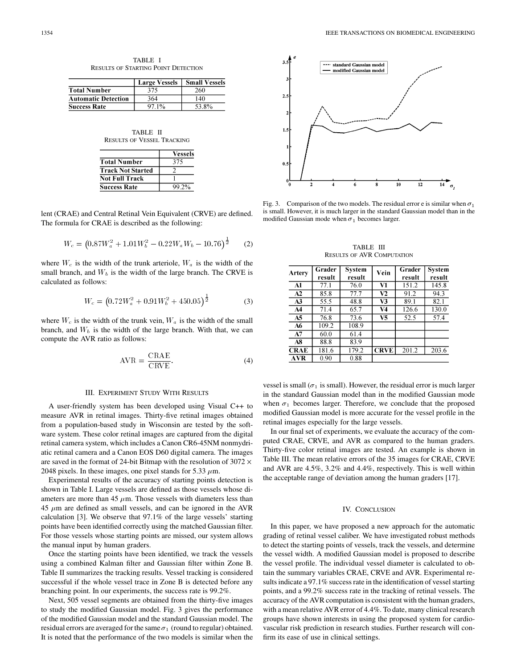|                            | <b>Large Vessels</b> | <b>Small Vessels</b> |  |
|----------------------------|----------------------|----------------------|--|
| <b>Total Number</b>        | 375                  | 260                  |  |
| <b>Automatic Detection</b> | 364                  | 140                  |  |
| <b>Success Rate</b>        | 97.1%                | 53.8%                |  |

TABLE II RESULTS OF VESSEL TRACKING

|                          | <b>Vessels</b> |
|--------------------------|----------------|
| <b>Total Number</b>      | 375            |
| <b>Track Not Started</b> |                |
| Not Full Track           |                |
| <b>Success Rate</b>      | 99.2%          |

lent (CRAE) and Central Retinal Vein Equivalent (CRVE) are defined. The formula for CRAE is described as the following:

$$
W_c = \left(0.87W_a^2 + 1.01W_b^2 - 0.22W_aW_b - 10.76\right)^{\frac{1}{2}} \tag{2}
$$

where  $W_c$  is the width of the trunk arteriole,  $W_a$  is the width of the small branch, and  $W_b$  is the width of the large branch. The CRVE is calculated as follows:

$$
W_c = \left(0.72W_a^2 + 0.91W_b^2 + 450.05\right)^{\frac{1}{2}}\tag{3}
$$

where  $W_c$  is the width of the trunk vein,  $W_a$  is the width of the small branch, and  $W_b$  is the width of the large branch. With that, we can compute the AVR ratio as follows:

$$
AVR = \frac{CRAE}{C RVE}.
$$
 (4)

#### III. EXPERIMENT STUDY WITH RESULTS

A user-friendly systemhas been developed using Visual C++ to measure AVR in retinal images. Thirty-five retinal images obtained froma population-based study in Wisconsin are tested by the software system. These color retinal images are captured from the digital retinal camera system, which includes a Canon CR6-45NM nonmydriatic retinal camera and a Canon EOS D60 digital camera. The images are saved in the format of 24-bit Bitmap with the resolution of 3072  $\times$ 2048 pixels. In these images, one pixel stands for 5.33  $\mu$ m.

Experimental results of the accuracy of starting points detection is shown in Table I. Large vessels are defined as those vessels whose diameters are more than 45  $\mu$ m. Those vessels with diameters less than  $45 \mu m$  are defined as small vessels, and can be ignored in the AVR calculation [3]. We observe that 97.1% of the large vessels' starting points have been identified correctly using the matched Gaussian filter. For those vessels whose starting points are missed, our system allows the manual input by human graders.

Once the starting points have been identified, we track the vessels using a combined Kalman filter and Gaussian filter within Zone B. Table II summarizes the tracking results. Vessel tracking is considered successful if the whole vessel trace in Zone B is detected before any branching point. In our experiments, the success rate is 99.2%.

Next, 505 vessel segments are obtained from the thirty-five images to study the modified Gaussian model. Fig. 3 gives the performance of the modified Gaussian model and the standard Gaussian model. The residual errors are averaged for the same  $\sigma_1$  (round to regular) obtained. It is noted that the performance of the two models is similar when the



Fig. 3. Comparison of the two models. The residual error e is similar when  $\sigma_1$ is small. However, it is much larger in the standard Gaussian model than in the modified Gaussian mode when  $\sigma_1$  becomes larger.

TABLE III RESULTS OF AVR COMPUTATION

| <b>Artery</b> | Grader<br>result | <b>System</b><br>result | Vein        | Grader<br>result | <b>System</b><br>result |
|---------------|------------------|-------------------------|-------------|------------------|-------------------------|
| A1            | 77.1             | 76.0                    | V1          | 151.2            | 145.8                   |
| A2            | 85.8             | 77.7                    | V2          | 91.2             | 94.3                    |
| A3            | 55.5             | 48.8                    | V3          | 89.1             | 82.1                    |
| A4            | 71.4             | 65.7                    | V4          | 126.6            | 130.0                   |
| A5            | 76.8             | 73.6                    | V5          | 52.5             | 57.4                    |
| A6            | 109.2            | 108.9                   |             |                  |                         |
| A7            | 60.0             | 61.4                    |             |                  |                         |
| A8            | 88.8             | 83.9                    |             |                  |                         |
| <b>CRAE</b>   | 181.6            | 179.2                   | <b>CRVE</b> | 201.2            | 203.6                   |
| <b>AVR</b>    | 0.90             | 0.88                    |             |                  |                         |

vessel is small ( $\sigma_1$  is small). However, the residual error is much larger in the standard Gaussian model than in the modified Gaussian mode when  $\sigma_1$  becomes larger. Therefore, we conclude that the proposed modified Gaussian model is more accurate for the vessel profile in the retinal images especially for the large vessels.

In our final set of experiments, we evaluate the accuracy of the computed CRAE, CRVE, and AVR as compared to the human graders. Thirty-five color retinal images are tested. An example is shown in Table III. The mean relative errors of the 35 images for CRAE, CRVE and AVR are 4.5%, 3.2% and 4.4%, respectively. This is well within the acceptable range of deviation among the human graders [17].

#### IV. CONCLUSION

In this paper, we have proposed a new approach for the automatic grading of retinal vessel caliber. We have investigated robust methods to detect the starting points of vessels, track the vessels, and determine the vessel width. A modified Gaussian model is proposed to describe the vessel profile. The individual vessel diameter is calculated to obtain the summary variables CRAE, CRVE and AVR. Experimental results indicate a 97.1% success rate in the identification of vessel starting points, and a 99.2% success rate in the tracking of retinal vessels. The accuracy of the AVR computation is consistent with the human graders, with a mean relative AVR error of 4.4%. To date, many clinical research groups have shown interests in using the proposed system for cardiovascular risk prediction in research studies. Further research will confirmits ease of use in clinical settings.